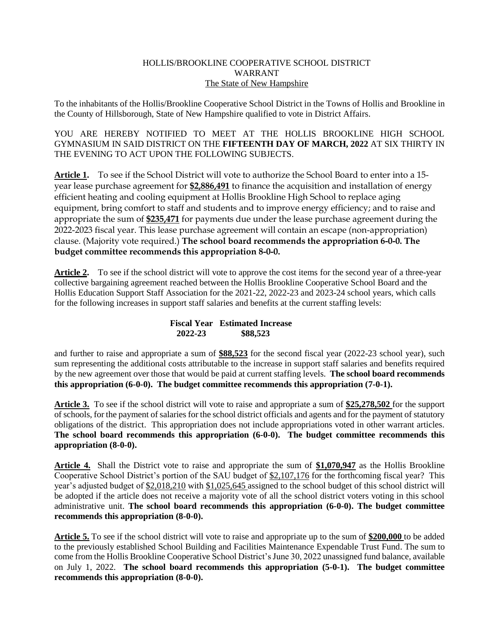## HOLLIS/BROOKLINE COOPERATIVE SCHOOL DISTRICT WARRANT The State of New Hampshire

To the inhabitants of the Hollis/Brookline Cooperative School District in the Towns of Hollis and Brookline in the County of Hillsborough, State of New Hampshire qualified to vote in District Affairs.

YOU ARE HEREBY NOTIFIED TO MEET AT THE HOLLIS BROOKLINE HIGH SCHOOL GYMNASIUM IN SAID DISTRICT ON THE **FIFTEENTH DAY OF MARCH, 2022** AT SIX THIRTY IN THE EVENING TO ACT UPON THE FOLLOWING SUBJECTS.

**Article 1.** To see if the School District will vote to authorize the School Board to enter into a 15 year lease purchase agreement for **\$2,886,491** to finance the acquisition and installation of energy efficient heating and cooling equipment at Hollis Brookline High School to replace aging equipment, bring comfort to staff and students and to improve energy efficiency; and to raise and appropriate the sum of **\$235,471** for payments due under the lease purchase agreement during the 2022-2023 fiscal year. This lease purchase agreement will contain an escape (non-appropriation) clause. (Majority vote required.) **The school board recommends the appropriation 6-0-0. The budget committee recommends this appropriation 8-0-0.**

**Article 2.** To see if the school district will vote to approve the cost items for the second year of a three-year collective bargaining agreement reached between the Hollis Brookline Cooperative School Board and the Hollis Education Support Staff Association for the 2021-22, 2022-23 and 2023-24 school years, which calls for the following increases in support staff salaries and benefits at the current staffing levels:

## **Fiscal Year Estimated Increase 2022-23 \$88,523**

and further to raise and appropriate a sum of **\$88,523** for the second fiscal year (2022-23 school year), such sum representing the additional costs attributable to the increase in support staff salaries and benefits required by the new agreement over those that would be paid at current staffing levels. **The school board recommends this appropriation (6-0-0). The budget committee recommends this appropriation (7-0-1).**

**Article 3.** To see if the school district will vote to raise and appropriate a sum of **\$25,278,502** for the support of schools, for the payment of salaries for the school district officials and agents and for the payment of statutory obligations of the district. This appropriation does not include appropriations voted in other warrant articles. **The school board recommends this appropriation (6-0-0). The budget committee recommends this appropriation (8-0-0).**

**Article 4.** Shall the District vote to raise and appropriate the sum of **\$1,070,947** as the Hollis Brookline Cooperative School District's portion of the SAU budget of \$2,107,176 for the forthcoming fiscal year? This year's adjusted budget of \$2,018,210 with \$1,025,645 assigned to the school budget of this school district will be adopted if the article does not receive a majority vote of all the school district voters voting in this school administrative unit. **The school board recommends this appropriation (6-0-0). The budget committee recommends this appropriation (8-0-0).**

**Article 5.** To see if the school district will vote to raise and appropriate up to the sum of **\$200,000** to be added to the previously established School Building and Facilities Maintenance Expendable Trust Fund. The sum to come from the Hollis Brookline Cooperative School District's June 30, 2022 unassigned fund balance, available on July 1, 2022. **The school board recommends this appropriation (5-0-1). The budget committee recommends this appropriation (8-0-0).**